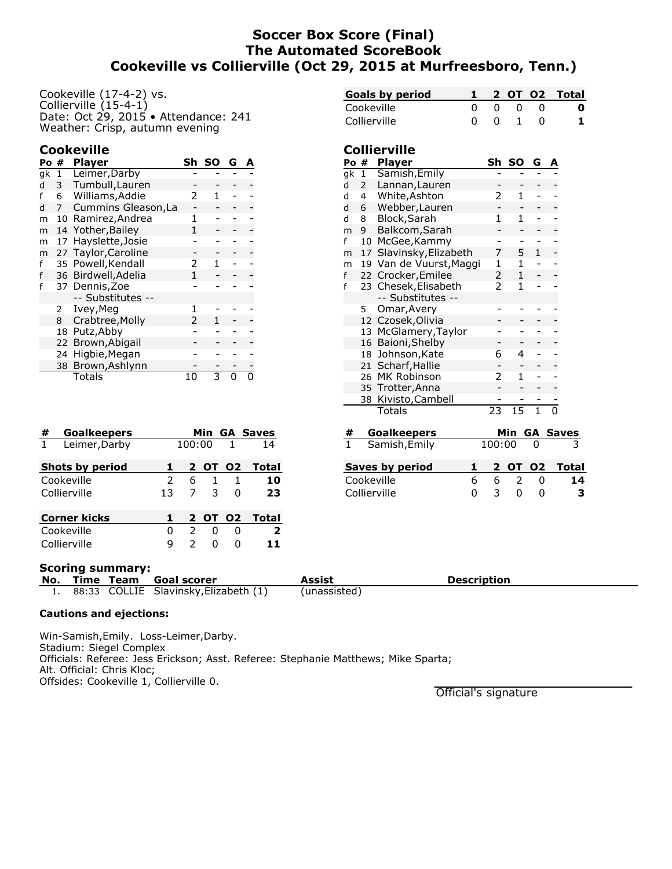# **Soccer Box Score (Final) The Automated ScoreBook Cookeville vs Collierville (Oct 29, 2015 at Murfreesboro, Tenn.)**

**Collierville**

Cookeville (17-4-2) vs. Collierville (15-4-1) Date: Oct 29, 2015 • Attendance: 241 Weather: Crisp, autumn evening

### **Cookeville**

| Po# |    | Player              | Sh | SΟ | G | А |
|-----|----|---------------------|----|----|---|---|
| gk  | 1  | Leimer, Darby       |    |    |   |   |
| d   | 3  | Tumbull, Lauren     |    |    |   |   |
| f   | 6  | Williams, Addie     | 2  |    |   |   |
| d   | 7  | Cummins Gleason, La |    |    |   |   |
| m   | 10 | Ramirez, Andrea     | 1  |    |   |   |
| m   |    | 14 Yother, Bailey   | 1  |    |   |   |
| m   | 17 | Hayslette, Josie    |    |    |   |   |
| m   | 27 | Taylor, Caroline    |    |    |   |   |
| f   | 35 | Powell, Kendall     | 2  |    |   |   |
| f   | 36 | Birdwell, Adelia    | 1  |    |   |   |
| f   | 37 | Dennis, Zoe         |    |    |   |   |
|     |    | -- Substitutes --   |    |    |   |   |
|     | 2  | Ivey, Meg           | 1  |    |   |   |
|     | 8  | Crabtree, Molly     | 2  |    |   |   |
|     | 18 | Putz, Abby          |    |    |   |   |
|     |    | 22 Brown, Abigail   |    |    |   |   |
|     | 24 | Higbie, Megan       |    |    |   |   |
|     | 38 | Brown, Ashlynn      |    |    |   |   |
|     |    | Totals              |    |    |   |   |

| #            | <b>Goalkeepers</b>     |               |        |         |                | <b>Min GA Saves</b> |
|--------------|------------------------|---------------|--------|---------|----------------|---------------------|
| $\mathbf{1}$ | Leimer, Darby          |               | 100:00 |         | $\overline{1}$ | 14                  |
|              | <b>Shots by period</b> |               |        | 2 OT 02 |                | Total               |
|              | Cookeville             | $\mathcal{P}$ | 6      | 1       | 1              | 10                  |
|              | Collierville           | 13            | 7      | 3       | O              | 23                  |
|              | <b>Corner kicks</b>    |               |        | 2 OT 02 |                | Total               |
|              | Cookeville             | 0             | 2      | O       | O              | $\overline{2}$      |
|              | Collierville           | q             |        | ი       | n              |                     |

| ist |                                                     |                     |                                           |   | Description         |                 |                         |                |              |  |
|-----|-----------------------------------------------------|---------------------|-------------------------------------------|---|---------------------|-----------------|-------------------------|----------------|--------------|--|
|     |                                                     |                     |                                           |   |                     |                 |                         |                |              |  |
|     |                                                     |                     | Collierville                              | 0 | 3                   | 0               | 0                       |                | 3            |  |
|     |                                                     |                     | Cookeville                                | 6 | 6                   | 2               | 0                       |                | 14           |  |
|     |                                                     |                     | <b>Saves by period</b>                    | 1 | 2                   | <b>OT 02</b>    |                         |                | <b>Total</b> |  |
|     | $\overline{1}$                                      |                     | Samish, Emily                             |   | 100:00              |                 | 0                       |                |              |  |
|     | <b>Goalkeepers</b><br>#                             |                     |                                           |   | Min GA Saves        |                 |                         |                |              |  |
|     |                                                     |                     | Totals                                    |   |                     | $\overline{15}$ | $\overline{\mathbb{1}}$ | $\overline{0}$ |              |  |
|     |                                                     |                     | 38 Kivisto, Cambell                       |   |                     |                 |                         |                |              |  |
|     |                                                     |                     | 26 MK Robinson<br>35 Trotter, Anna        | 2 | 1                   |                 |                         |                |              |  |
|     |                                                     |                     | 21 Scharf, Hallie                         |   |                     |                 |                         |                |              |  |
|     |                                                     |                     | 18 Johnson, Kate                          |   | 6                   | 4               |                         |                |              |  |
|     |                                                     |                     | 16 Baioni, Shelby                         |   |                     |                 |                         |                |              |  |
|     |                                                     |                     | 13 McGlamery, Taylor                      |   |                     |                 |                         |                |              |  |
|     |                                                     |                     | 12 Czosek, Olivia                         |   |                     |                 |                         |                |              |  |
|     |                                                     | 5                   | Omar, Avery                               |   |                     |                 |                         |                |              |  |
|     | f                                                   |                     | 23 Chesek, Elisabeth<br>-- Substitutes -- |   |                     | 1               |                         |                |              |  |
|     | f                                                   |                     | 22 Crocker, Emilee                        |   | $\overline{2}$<br>2 | $\mathbf{1}$    |                         |                |              |  |
|     | m                                                   |                     | 19 Van de Vuurst, Maggi                   |   | 1                   | 1               |                         |                |              |  |
|     | m                                                   |                     | 17 Slavinsky, Elizabeth                   |   | 7                   | 5               | $\mathbf{1}$            |                |              |  |
|     | f                                                   | 10                  | McGee, Kammy                              |   |                     | -               |                         |                |              |  |
|     | m                                                   | 9                   | Balkcom, Sarah                            |   |                     |                 |                         |                |              |  |
|     | d                                                   | Block, Sarah<br>8   |                                           |   |                     | $\mathbf{1}$    |                         |                |              |  |
|     | d                                                   | Webber, Lauren<br>6 |                                           |   |                     |                 |                         |                |              |  |
|     | Lannan, Lauren<br>d<br>2<br>White, Ashton<br>d<br>4 |                     | 2                                         | 1 |                     |                 |                         |                |              |  |
|     |                                                     |                     |                                           |   |                     |                 |                         |                |              |  |

**Goals by period 1 2 OT O2 Total** Cookeville 0 0 0 0 **0** Collierville 0 0 1 0 **1**

**Po # Player Sh SO G A** gk 1 Samish,Emily - - - -

### **Scoring summary:**

**No. Time Team Goal scorer Assist Assist Assist Assist Assist Assist Assisted** Assembly Assisted 1. 88:33 COLLIE Slavinsky, Elizabeth (1)

#### **Cautions and ejections:**

Win-Samish,Emily. Loss-Leimer,Darby. Stadium: Siegel Complex Officials: Referee: Jess Erickson; Asst. Referee: Stephanie Matthews; Mike Sparta; Alt. Official: Chris Kloc; Offsides: Cookeville 1, Collierville 0.

Official's signature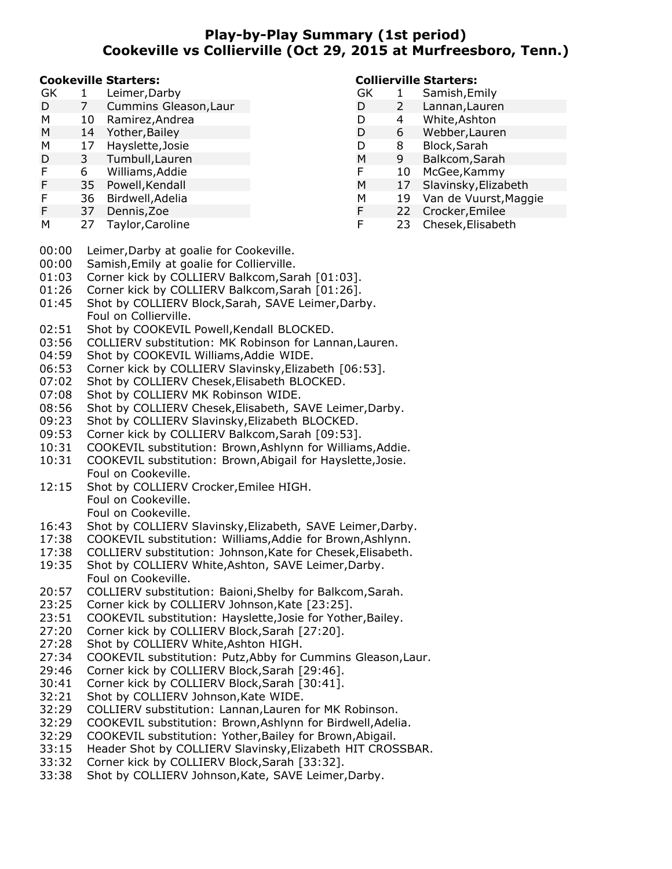# **Play-by-Play Summary (1st period) Cookeville vs Collierville (Oct 29, 2015 at Murfreesboro, Tenn.)**

#### **Cookeville Starters:**

| GK |           | Leimer, Darby         |
|----|-----------|-----------------------|
| D  |           | Cummins Gleason, Laur |
| M  | $10^{-1}$ | Domiroz Andron        |

- M 10 Ramirez,Andrea
- M 14 Yother,Bailey
- M 17 Hayslette,Josie
- D 3 Tumbull,Lauren
- F 6 Williams,Addie
- F 35 Powell,Kendall
- F 36 Birdwell,Adelia
- F 37 Dennis,Zoe
- M 27 Taylor,Caroline

### **Collierville Starters:**

- GK 1 Samish, Emily<br>D 2 Lannan, Laure D 2 Lannan,Lauren D 4 White,Ashton D 6 Webber,Lauren D 8 Block,Sarah M 9 Balkcom,Sarah F 10 McGee,Kammy M 17 Slavinsky,Elizabeth M 19 Van de Vuurst,Maggie F 22 Crocker,Emilee
- F 23 Chesek,Elisabeth
- 00:00 Leimer,Darby at goalie for Cookeville.
- 00:00 Samish,Emily at goalie for Collierville.
- 01:03 Corner kick by COLLIERV Balkcom, Sarah [01:03].
- 01:26 Corner kick by COLLIERV Balkcom, Sarah [01:26].
- 01:45 Shot by COLLIERV Block,Sarah, SAVE Leimer,Darby. Foul on Collierville.
- 02:51 Shot by COOKEVIL Powell, Kendall BLOCKED.
- 03:56 COLLIERV substitution: MK Robinson for Lannan,Lauren.
- 04:59 Shot by COOKEVIL Williams,Addie WIDE.
- 06:53 Corner kick by COLLIERV Slavinsky,Elizabeth [06:53].
- 07:02 Shot by COLLIERV Chesek,Elisabeth BLOCKED.
- 07:08 Shot by COLLIERV MK Robinson WIDE.
- 08:56 Shot by COLLIERV Chesek,Elisabeth, SAVE Leimer,Darby.
- 09:23 Shot by COLLIERV Slavinsky,Elizabeth BLOCKED.
- 09:53 Corner kick by COLLIERV Balkcom,Sarah [09:53].
- 10:31 COOKEVIL substitution: Brown,Ashlynn for Williams,Addie.
- 10:31 COOKEVIL substitution: Brown,Abigail for Hayslette,Josie. Foul on Cookeville.
- 12:15 Shot by COLLIERV Crocker,Emilee HIGH. Foul on Cookeville. Foul on Cookeville.
- 16:43 Shot by COLLIERV Slavinsky,Elizabeth, SAVE Leimer,Darby.
- 17:38 COOKEVIL substitution: Williams,Addie for Brown,Ashlynn.
- 17:38 COLLIERV substitution: Johnson,Kate for Chesek,Elisabeth.
- 19:35 Shot by COLLIERV White,Ashton, SAVE Leimer,Darby. Foul on Cookeville.
- 20:57 COLLIERV substitution: Baioni,Shelby for Balkcom,Sarah.
- 23:25 Corner kick by COLLIERV Johnson,Kate [23:25].
- 23:51 COOKEVIL substitution: Hayslette,Josie for Yother,Bailey.
- 27:20 Corner kick by COLLIERV Block,Sarah [27:20].
- 27:28 Shot by COLLIERV White,Ashton HIGH.
- 27:34 COOKEVIL substitution: Putz,Abby for Cummins Gleason,Laur.
- 29:46 Corner kick by COLLIERV Block,Sarah [29:46].
- 30:41 Corner kick by COLLIERV Block,Sarah [30:41].
- 32:21 Shot by COLLIERV Johnson,Kate WIDE.
- 32:29 COLLIERV substitution: Lannan,Lauren for MK Robinson.
- 32:29 COOKEVIL substitution: Brown,Ashlynn for Birdwell,Adelia.
- 32:29 COOKEVIL substitution: Yother,Bailey for Brown,Abigail.
- 33:15 Header Shot by COLLIERV Slavinsky,Elizabeth HIT CROSSBAR.
- 33:32 Corner kick by COLLIERV Block,Sarah [33:32].
- 33:38 Shot by COLLIERV Johnson,Kate, SAVE Leimer,Darby.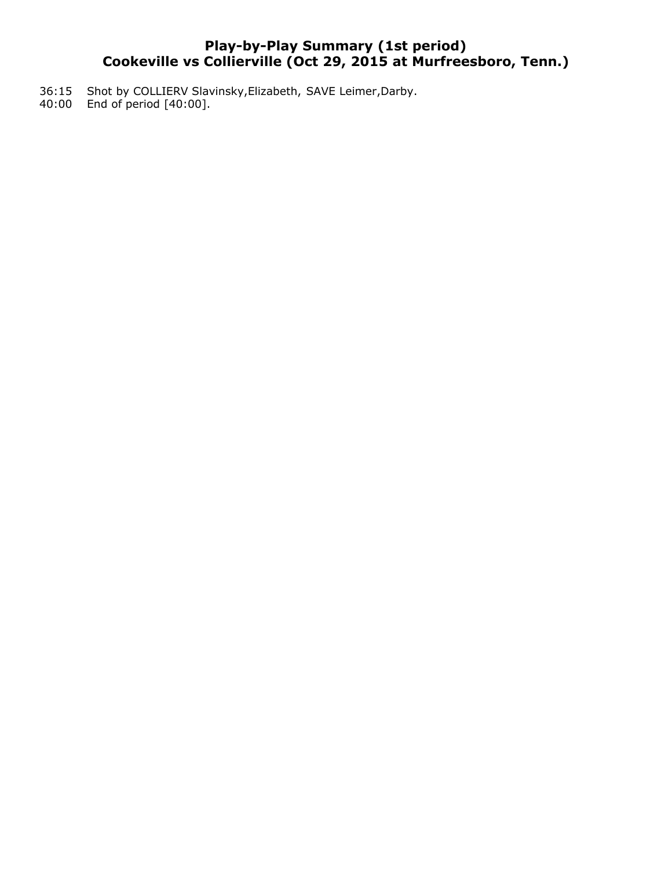# **Play-by-Play Summary (1st period) Cookeville vs Collierville (Oct 29, 2015 at Murfreesboro, Tenn.)**

- 36:15 Shot by COLLIERV Slavinsky,Elizabeth, SAVE Leimer,Darby.
- 40:00 End of period [40:00].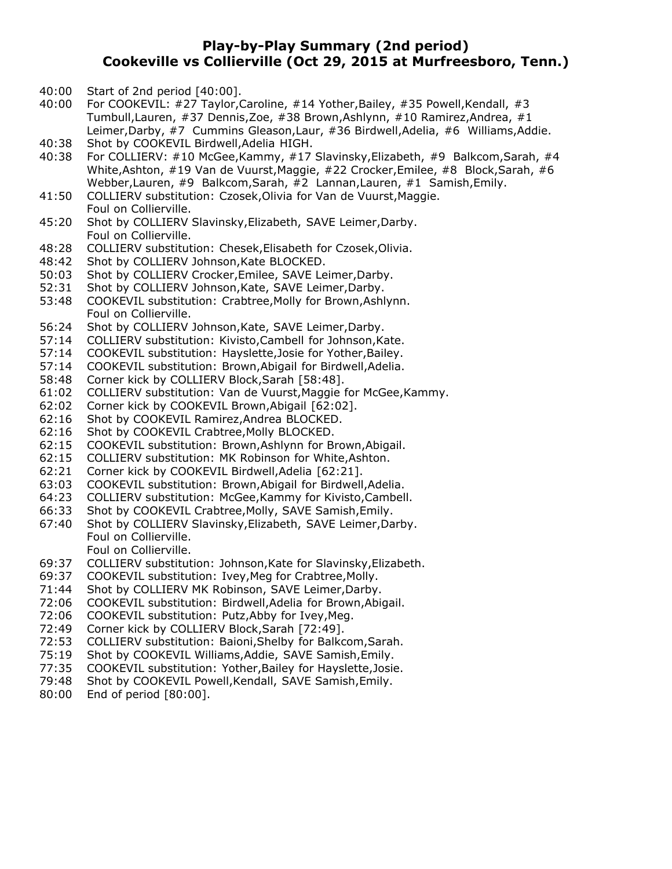# **Play-by-Play Summary (2nd period) Cookeville vs Collierville (Oct 29, 2015 at Murfreesboro, Tenn.)**

- 40:00 Start of 2nd period [40:00].
- 40:00 For COOKEVIL: #27 Taylor,Caroline, #14 Yother,Bailey, #35 Powell,Kendall, #3 Tumbull,Lauren, #37 Dennis,Zoe, #38 Brown,Ashlynn, #10 Ramirez,Andrea, #1 Leimer,Darby, #7 Cummins Gleason,Laur, #36 Birdwell,Adelia, #6 Williams,Addie.
- 40:38 Shot by COOKEVIL Birdwell,Adelia HIGH.
- 40:38 For COLLIERV: #10 McGee,Kammy, #17 Slavinsky,Elizabeth, #9 Balkcom,Sarah, #4 White,Ashton, #19 Van de Vuurst,Maggie, #22 Crocker,Emilee, #8 Block,Sarah, #6 Webber,Lauren, #9 Balkcom,Sarah, #2 Lannan,Lauren, #1 Samish,Emily.
- 41:50 COLLIERV substitution: Czosek,Olivia for Van de Vuurst,Maggie. Foul on Collierville.
- 45:20 Shot by COLLIERV Slavinsky,Elizabeth, SAVE Leimer,Darby. Foul on Collierville.
- 48:28 COLLIERV substitution: Chesek,Elisabeth for Czosek,Olivia.
- 48:42 Shot by COLLIERV Johnson,Kate BLOCKED.
- 50:03 Shot by COLLIERV Crocker,Emilee, SAVE Leimer,Darby.
- 52:31 Shot by COLLIERV Johnson,Kate, SAVE Leimer,Darby.
- 53:48 COOKEVIL substitution: Crabtree,Molly for Brown,Ashlynn. Foul on Collierville.
- 56:24 Shot by COLLIERV Johnson,Kate, SAVE Leimer,Darby.
- 57:14 COLLIERV substitution: Kivisto,Cambell for Johnson,Kate.
- 57:14 COOKEVIL substitution: Hayslette,Josie for Yother,Bailey.
- 57:14 COOKEVIL substitution: Brown,Abigail for Birdwell,Adelia.
- 58:48 Corner kick by COLLIERV Block,Sarah [58:48].
- 61:02 COLLIERV substitution: Van de Vuurst,Maggie for McGee,Kammy.
- 62:02 Corner kick by COOKEVIL Brown,Abigail [62:02].
- 62:16 Shot by COOKEVIL Ramirez,Andrea BLOCKED.
- 62:16 Shot by COOKEVIL Crabtree,Molly BLOCKED.
- 62:15 COOKEVIL substitution: Brown,Ashlynn for Brown,Abigail.
- 62:15 COLLIERV substitution: MK Robinson for White,Ashton.
- 62:21 Corner kick by COOKEVIL Birdwell,Adelia [62:21].
- 63:03 COOKEVIL substitution: Brown,Abigail for Birdwell,Adelia.
- 64:23 COLLIERV substitution: McGee,Kammy for Kivisto,Cambell.
- 66:33 Shot by COOKEVIL Crabtree,Molly, SAVE Samish,Emily.
- 67:40 Shot by COLLIERV Slavinsky,Elizabeth, SAVE Leimer,Darby. Foul on Collierville. Foul on Collierville.
- 69:37 COLLIERV substitution: Johnson,Kate for Slavinsky,Elizabeth.
- 69:37 COOKEVIL substitution: Ivey,Meg for Crabtree,Molly.
- 71:44 Shot by COLLIERV MK Robinson, SAVE Leimer,Darby.
- 72:06 COOKEVIL substitution: Birdwell,Adelia for Brown,Abigail.
- 72:06 COOKEVIL substitution: Putz,Abby for Ivey,Meg.
- 72:49 Corner kick by COLLIERV Block,Sarah [72:49].
- 72:53 COLLIERV substitution: Baioni,Shelby for Balkcom,Sarah.
- 75:19 Shot by COOKEVIL Williams,Addie, SAVE Samish,Emily.
- 77:35 COOKEVIL substitution: Yother,Bailey for Hayslette,Josie.
- 79:48 Shot by COOKEVIL Powell,Kendall, SAVE Samish,Emily.
- 80:00 End of period [80:00].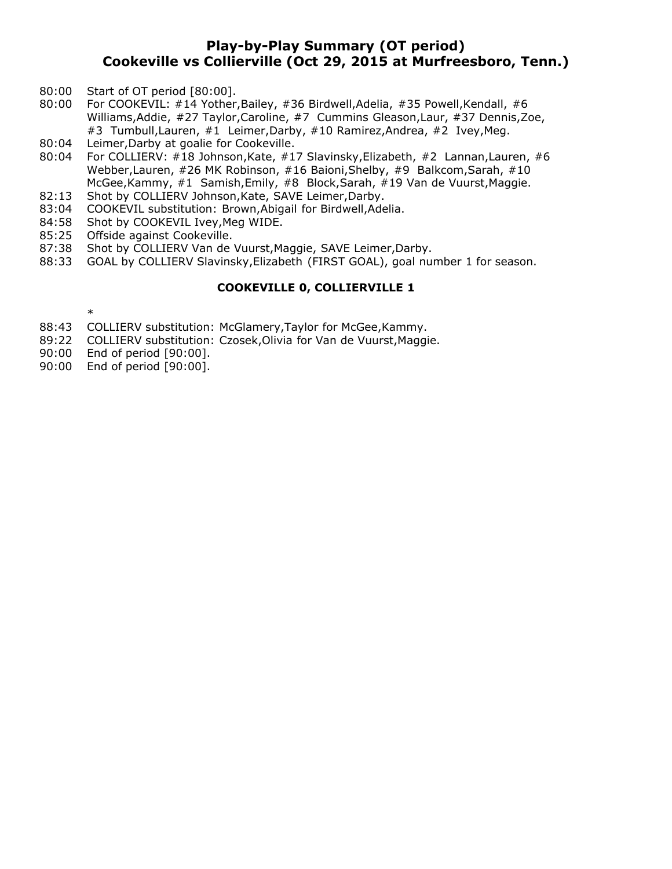# **Play-by-Play Summary (OT period) Cookeville vs Collierville (Oct 29, 2015 at Murfreesboro, Tenn.)**

- 80:00 Start of OT period [80:00].
- 80:00 For COOKEVIL: #14 Yother, Bailey, #36 Birdwell, Adelia, #35 Powell, Kendall, #6 Williams,Addie, #27 Taylor,Caroline, #7 Cummins Gleason,Laur, #37 Dennis,Zoe, #3 Tumbull, Lauren, #1 Leimer, Darby, #10 Ramirez, Andrea, #2 Ivey, Meg.
- 80:04 Leimer, Darby at goalie for Cookeville.<br>80:04 For COLLIERV: #18 Johnson, Kate, #1
- For COLLIERV: #18 Johnson, Kate, #17 Slavinsky, Elizabeth, #2 Lannan, Lauren, #6 Webber,Lauren, #26 MK Robinson, #16 Baioni,Shelby, #9 Balkcom,Sarah, #10 McGee,Kammy, #1 Samish,Emily, #8 Block,Sarah, #19 Van de Vuurst,Maggie.
- 82:13 Shot by COLLIERV Johnson, Kate, SAVE Leimer, Darby.
- 83:04 COOKEVIL substitution: Brown,Abigail for Birdwell,Adelia.
- 84:58 Shot by COOKEVIL Ivey, Meg WIDE.
- 85:25 Offside against Cookeville.
- 87:38 Shot by COLLIERV Van de Vuurst,Maggie, SAVE Leimer,Darby.
- 88:33 GOAL by COLLIERV Slavinsky,Elizabeth (FIRST GOAL), goal number 1 for season.

#### **COOKEVILLE 0, COLLIERVILLE 1**

- \*
- 88:43 COLLIERV substitution: McGlamery,Taylor for McGee,Kammy.
- 89:22 COLLIERV substitution: Czosek,Olivia for Van de Vuurst,Maggie.
- 90:00 End of period [90:00].
- 90:00 End of period [90:00].